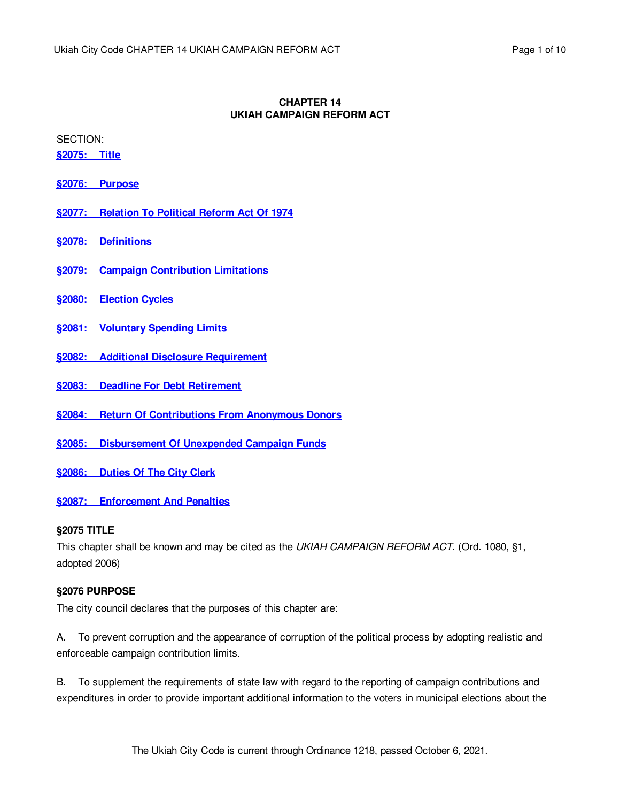### **CHAPTER 14 UKIAH CAMPAIGN REFORM ACT**

SECTION:

**[§2075:](#page-0-0) Title**

**§2076: [Purpose](#page-0-1)**

- **§2077: [Relation](#page-1-0) To Political Reform Act Of 1974**
- **§2078: [Definitions](#page-1-1)**
- **§2079: Campaign [Contribution](#page-2-0) Limitations**
- **§2080: [Election](#page-3-0) Cycles**
- **§2081: [Voluntary](#page-3-1) Spending Limits**
- **§2082: Additional Disclosure [Requirement](#page-5-0)**
- **§2083: Deadline For Debt [Retirement](#page-6-0)**
- **§2084: Return Of [Contributions](#page-6-1) From Anonymous Donors**
- **§2085: [Disbursement](#page-6-2) Of Unexpended Campaign Funds**
- **§2086: [Duties](#page-7-0) Of The City Clerk**
- **§2087: [Enforcement](#page-7-1) And Penalties**

#### <span id="page-0-0"></span>**§2075 TITLE**

This chapter shall be known and may be cited as the *UKIAH CAMPAIGN REFORM ACT*. (Ord. 1080, §1, adopted 2006)

# <span id="page-0-1"></span>**§2076 PURPOSE**

The city council declares that the purposes of this chapter are:

A. To prevent corruption and the appearance of corruption of the political process by adopting realistic and enforceable campaign contribution limits.

B. To supplement the requirements of state law with regard to the reporting of campaign contributions and expenditures in order to provide important additional information to the voters in municipal elections about the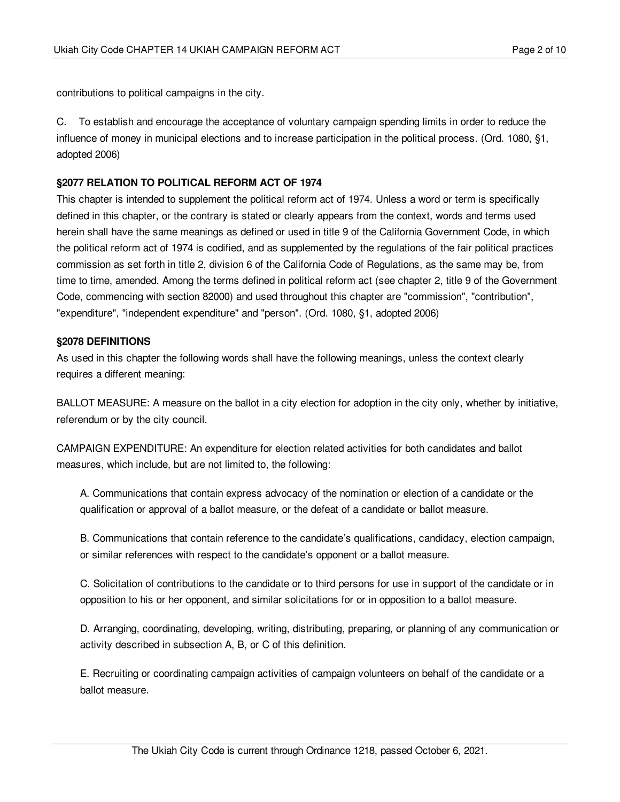contributions to political campaigns in the city.

C. To establish and encourage the acceptance of voluntary campaign spending limits in order to reduce the influence of money in municipal elections and to increase participation in the political process. (Ord. 1080, §1, adopted 2006)

### <span id="page-1-0"></span>**§2077 RELATION TO POLITICAL REFORM ACT OF 1974**

This chapter is intended to supplement the political reform act of 1974. Unless a word or term is specifically defined in this chapter, or the contrary is stated or clearly appears from the context, words and terms used herein shall have the same meanings as defined or used in title 9 of the California Government Code, in which the political reform act of 1974 is codified, and as supplemented by the regulations of the fair political practices commission as set forth in title 2, division 6 of the California Code of Regulations, as the same may be, from time to time, amended. Among the terms defined in political reform act (see chapter 2, title 9 of the Government Code, commencing with section 82000) and used throughout this chapter are "commission", "contribution", "expenditure", "independent expenditure" and "person". (Ord. 1080, §1, adopted 2006)

### <span id="page-1-1"></span>**§2078 DEFINITIONS**

As used in this chapter the following words shall have the following meanings, unless the context clearly requires a different meaning:

BALLOT MEASURE: A measure on the ballot in a city election for adoption in the city only, whether by initiative, referendum or by the city council.

CAMPAIGN EXPENDITURE: An expenditure for election related activities for both candidates and ballot measures, which include, but are not limited to, the following:

A. Communications that contain express advocacy of the nomination or election of a candidate or the qualification or approval of a ballot measure, or the defeat of a candidate or ballot measure.

B. Communications that contain reference to the candidate's qualifications, candidacy, election campaign, or similar references with respect to the candidate's opponent or a ballot measure.

C. Solicitation of contributions to the candidate or to third persons for use in support of the candidate or in opposition to his or her opponent, and similar solicitations for or in opposition to a ballot measure.

D. Arranging, coordinating, developing, writing, distributing, preparing, or planning of any communication or activity described in subsection A, B, or C of this definition.

E. Recruiting or coordinating campaign activities of campaign volunteers on behalf of the candidate or a ballot measure.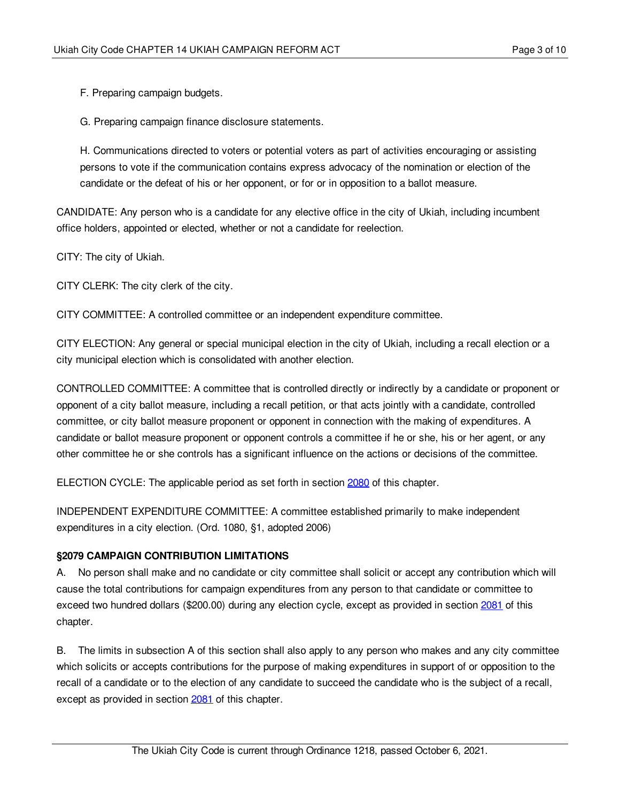F. Preparing campaign budgets.

G. Preparing campaign finance disclosure statements.

H. Communications directed to voters or potential voters as part of activities encouraging or assisting persons to vote if the communication contains express advocacy of the nomination or election of the candidate or the defeat of his or her opponent, or for or in opposition to a ballot measure.

CANDIDATE: Any person who is a candidate for any elective office in the city of Ukiah, including incumbent office holders, appointed or elected, whether or not a candidate for reelection.

CITY: The city of Ukiah.

CITY CLERK: The city clerk of the city.

CITY COMMITTEE: A controlled committee or an independent expenditure committee.

CITY ELECTION: Any general or special municipal election in the city of Ukiah, including a recall election or a city municipal election which is consolidated with another election.

CONTROLLED COMMITTEE: A committee that is controlled directly or indirectly by a candidate or proponent or opponent of a city ballot measure, including a recall petition, or that acts jointly with a candidate, controlled committee, or city ballot measure proponent or opponent in connection with the making of expenditures. A candidate or ballot measure proponent or opponent controls a committee if he or she, his or her agent, or any other committee he or she controls has a significant influence on the actions or decisions of the committee.

ELECTION CYCLE: The applicable period as set forth in section [2080](#page-3-0) of this chapter.

INDEPENDENT EXPENDITURE COMMITTEE: A committee established primarily to make independent expenditures in a city election. (Ord. 1080, §1, adopted 2006)

#### <span id="page-2-0"></span>**§2079 CAMPAIGN CONTRIBUTION LIMITATIONS**

A. No person shall make and no candidate or city committee shall solicit or accept any contribution which will cause the total contributions for campaign expenditures from any person to that candidate or committee to exceed two hundred dollars (\$200.00) during any election cycle, except as provided in section [2081](#page-3-1) of this chapter.

B. The limits in subsection A of this section shall also apply to any person who makes and any city committee which solicits or accepts contributions for the purpose of making expenditures in support of or opposition to the recall of a candidate or to the election of any candidate to succeed the candidate who is the subject of a recall, except as provided in section [2081](#page-3-1) of this chapter.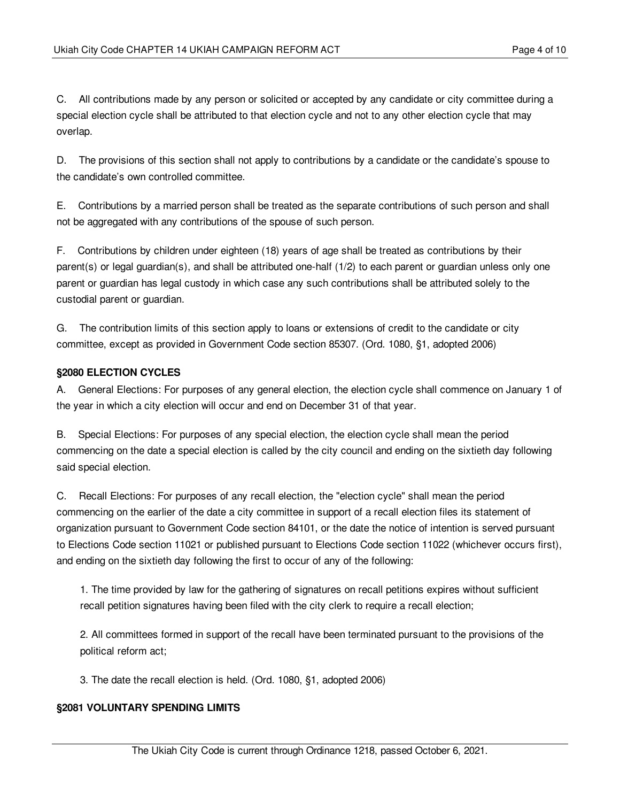C. All contributions made by any person or solicited or accepted by any candidate or city committee during a special election cycle shall be attributed to that election cycle and not to any other election cycle that may overlap.

D. The provisions of this section shall not apply to contributions by a candidate or the candidate's spouse to the candidate's own controlled committee.

E. Contributions by a married person shall be treated as the separate contributions of such person and shall not be aggregated with any contributions of the spouse of such person.

F. Contributions by children under eighteen (18) years of age shall be treated as contributions by their parent(s) or legal guardian(s), and shall be attributed one-half (1/2) to each parent or guardian unless only one parent or guardian has legal custody in which case any such contributions shall be attributed solely to the custodial parent or guardian.

G. The contribution limits of this section apply to loans or extensions of credit to the candidate or city committee, except as provided in Government Code section 85307. (Ord. 1080, §1, adopted 2006)

### <span id="page-3-0"></span>**§2080 ELECTION CYCLES**

A. General Elections: For purposes of any general election, the election cycle shall commence on January 1 of the year in which a city election will occur and end on December 31 of that year.

B. Special Elections: For purposes of any special election, the election cycle shall mean the period commencing on the date a special election is called by the city council and ending on the sixtieth day following said special election.

C. Recall Elections: For purposes of any recall election, the "election cycle" shall mean the period commencing on the earlier of the date a city committee in support of a recall election files its statement of organization pursuant to Government Code section 84101, or the date the notice of intention is served pursuant to Elections Code section 11021 or published pursuant to Elections Code section 11022 (whichever occurs first), and ending on the sixtieth day following the first to occur of any of the following:

1. The time provided by law for the gathering of signatures on recall petitions expires without sufficient recall petition signatures having been filed with the city clerk to require a recall election;

2. All committees formed in support of the recall have been terminated pursuant to the provisions of the political reform act;

3. The date the recall election is held. (Ord. 1080, §1, adopted 2006)

# <span id="page-3-1"></span>**§2081 VOLUNTARY SPENDING LIMITS**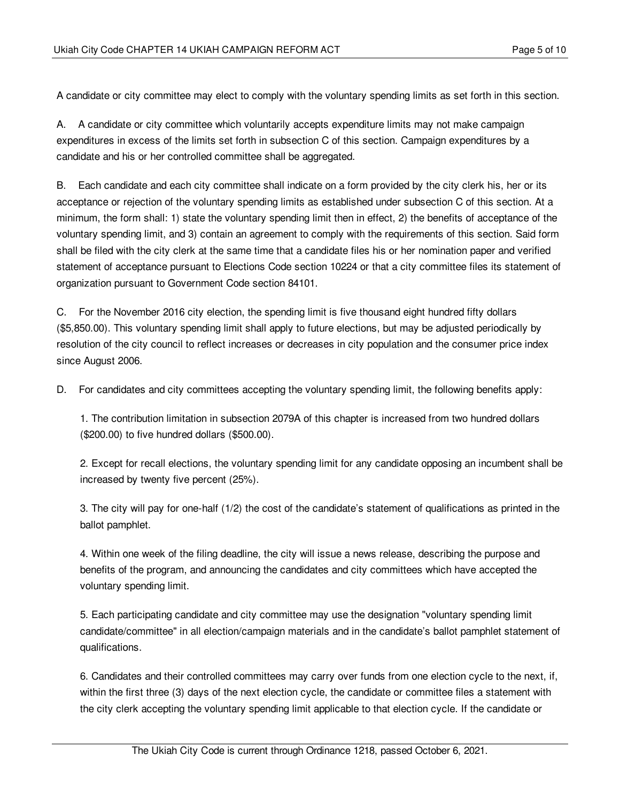A candidate or city committee may elect to comply with the voluntary spending limits as set forth in this section.

A. A candidate or city committee which voluntarily accepts expenditure limits may not make campaign expenditures in excess of the limits set forth in subsection C of this section. Campaign expenditures by a candidate and his or her controlled committee shall be aggregated.

B. Each candidate and each city committee shall indicate on a form provided by the city clerk his, her or its acceptance or rejection of the voluntary spending limits as established under subsection C of this section. At a minimum, the form shall: 1) state the voluntary spending limit then in effect, 2) the benefits of acceptance of the voluntary spending limit, and 3) contain an agreement to comply with the requirements of this section. Said form shall be filed with the city clerk at the same time that a candidate files his or her nomination paper and verified statement of acceptance pursuant to Elections Code section 10224 or that a city committee files its statement of organization pursuant to Government Code section 84101.

C. For the November 2016 city election, the spending limit is five thousand eight hundred fifty dollars (\$5,850.00). This voluntary spending limit shall apply to future elections, but may be adjusted periodically by resolution of the city council to reflect increases or decreases in city population and the consumer price index since August 2006.

D. For candidates and city committees accepting the voluntary spending limit, the following benefits apply:

1. The contribution limitation in subsection 2079A of this chapter is increased from two hundred dollars (\$200.00) to five hundred dollars (\$500.00).

2. Except for recall elections, the voluntary spending limit for any candidate opposing an incumbent shall be increased by twenty five percent (25%).

3. The city will pay for one-half (1/2) the cost of the candidate's statement of qualifications as printed in the ballot pamphlet.

4. Within one week of the filing deadline, the city will issue a news release, describing the purpose and benefits of the program, and announcing the candidates and city committees which have accepted the voluntary spending limit.

5. Each participating candidate and city committee may use the designation "voluntary spending limit candidate/committee" in all election/campaign materials and in the candidate's ballot pamphlet statement of qualifications.

6. Candidates and their controlled committees may carry over funds from one election cycle to the next, if, within the first three (3) days of the next election cycle, the candidate or committee files a statement with the city clerk accepting the voluntary spending limit applicable to that election cycle. If the candidate or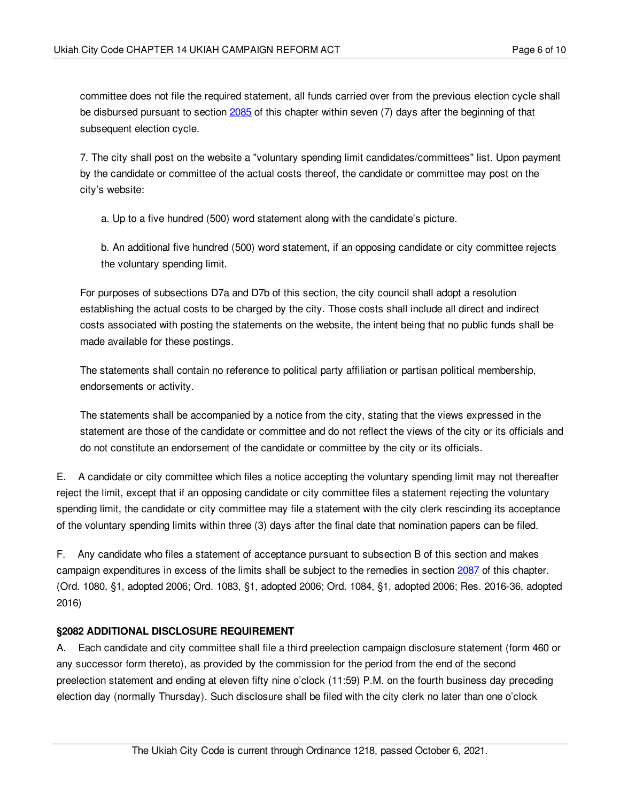committee does not file the required statement, all funds carried over from the previous election cycle shall be disbursed pursuant to section [2085](#page-6-2) of this chapter within seven (7) days after the beginning of that subsequent election cycle.

7. The city shall post on the website a "voluntary spending limit candidates/committees" list. Upon payment by the candidate or committee of the actual costs thereof, the candidate or committee may post on the city's website:

a. Up to a five hundred (500) word statement along with the candidate's picture.

b. An additional five hundred (500) word statement, if an opposing candidate or city committee rejects the voluntary spending limit.

For purposes of subsections D7a and D7b of this section, the city council shall adopt a resolution establishing the actual costs to be charged by the city. Those costs shall include all direct and indirect costs associated with posting the statements on the website, the intent being that no public funds shall be made available for these postings.

The statements shall contain no reference to political party affiliation or partisan political membership, endorsements or activity.

The statements shall be accompanied by a notice from the city, stating that the views expressed in the statement are those of the candidate or committee and do not reflect the views of the city or its officials and do not constitute an endorsement of the candidate or committee by the city or its officials.

E. A candidate or city committee which files a notice accepting the voluntary spending limit may not thereafter reject the limit, except that if an opposing candidate or city committee files a statement rejecting the voluntary spending limit, the candidate or city committee may file a statement with the city clerk rescinding its acceptance of the voluntary spending limits within three (3) days after the final date that nomination papers can be filed.

F. Any candidate who files a statement of acceptance pursuant to subsection B of this section and makes campaign expenditures in excess of the limits shall be subject to the remedies in section [2087](#page-7-1) of this chapter. (Ord. 1080, §1, adopted 2006; Ord. 1083, §1, adopted 2006; Ord. 1084, §1, adopted 2006; Res. 2016-36, adopted 2016)

# <span id="page-5-0"></span>**§2082 ADDITIONAL DISCLOSURE REQUIREMENT**

A. Each candidate and city committee shall file a third preelection campaign disclosure statement (form 460 or any successor form thereto), as provided by the commission for the period from the end of the second preelection statement and ending at eleven fifty nine o'clock (11:59) P.M. on the fourth business day preceding election day (normally Thursday). Such disclosure shall be filed with the city clerk no later than one o'clock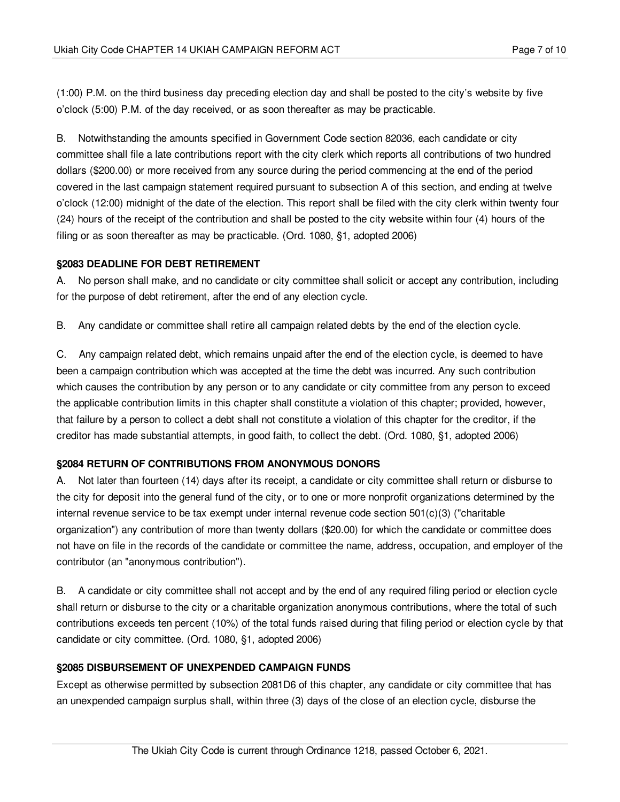(1:00) P.M. on the third business day preceding election day and shall be posted to the city's website by five o'clock (5:00) P.M. of the day received, or as soon thereafter as may be practicable.

B. Notwithstanding the amounts specified in Government Code section 82036, each candidate or city committee shall file a late contributions report with the city clerk which reports all contributions of two hundred dollars (\$200.00) or more received from any source during the period commencing at the end of the period covered in the last campaign statement required pursuant to subsection A of this section, and ending at twelve o'clock (12:00) midnight of the date of the election. This report shall be filed with the city clerk within twenty four (24) hours of the receipt of the contribution and shall be posted to the city website within four (4) hours of the filing or as soon thereafter as may be practicable. (Ord. 1080, §1, adopted 2006)

### <span id="page-6-0"></span>**§2083 DEADLINE FOR DEBT RETIREMENT**

A. No person shall make, and no candidate or city committee shall solicit or accept any contribution, including for the purpose of debt retirement, after the end of any election cycle.

B. Any candidate or committee shall retire all campaign related debts by the end of the election cycle.

C. Any campaign related debt, which remains unpaid after the end of the election cycle, is deemed to have been a campaign contribution which was accepted at the time the debt was incurred. Any such contribution which causes the contribution by any person or to any candidate or city committee from any person to exceed the applicable contribution limits in this chapter shall constitute a violation of this chapter; provided, however, that failure by a person to collect a debt shall not constitute a violation of this chapter for the creditor, if the creditor has made substantial attempts, in good faith, to collect the debt. (Ord. 1080, §1, adopted 2006)

# <span id="page-6-1"></span>**§2084 RETURN OF CONTRIBUTIONS FROM ANONYMOUS DONORS**

A. Not later than fourteen (14) days after its receipt, a candidate or city committee shall return or disburse to the city for deposit into the general fund of the city, or to one or more nonprofit organizations determined by the internal revenue service to be tax exempt under internal revenue code section 501(c)(3) ("charitable organization") any contribution of more than twenty dollars (\$20.00) for which the candidate or committee does not have on file in the records of the candidate or committee the name, address, occupation, and employer of the contributor (an "anonymous contribution").

B. A candidate or city committee shall not accept and by the end of any required filing period or election cycle shall return or disburse to the city or a charitable organization anonymous contributions, where the total of such contributions exceeds ten percent (10%) of the total funds raised during that filing period or election cycle by that candidate or city committee. (Ord. 1080, §1, adopted 2006)

# <span id="page-6-2"></span>**§2085 DISBURSEMENT OF UNEXPENDED CAMPAIGN FUNDS**

Except as otherwise permitted by subsection 2081D6 of this chapter, any candidate or city committee that has an unexpended campaign surplus shall, within three (3) days of the close of an election cycle, disburse the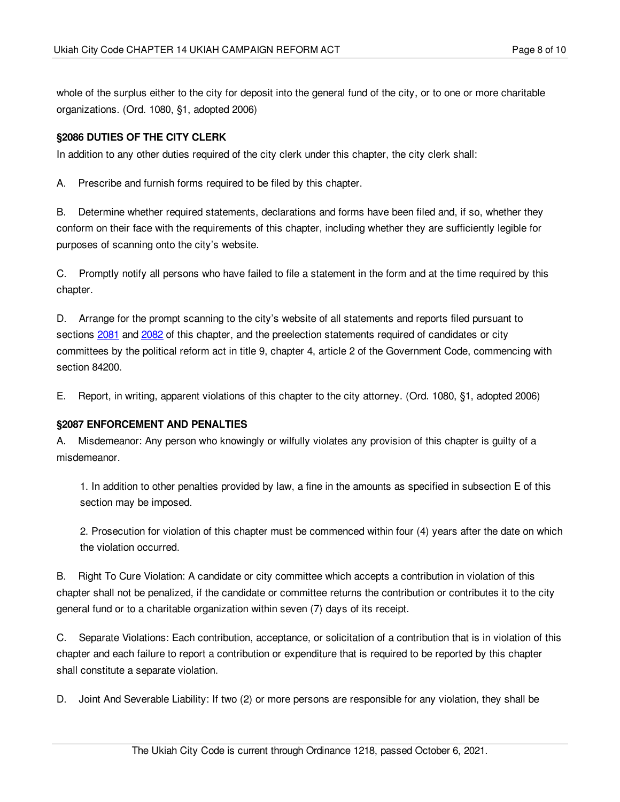whole of the surplus either to the city for deposit into the general fund of the city, or to one or more charitable organizations. (Ord. 1080, §1, adopted 2006)

# <span id="page-7-0"></span>**§2086 DUTIES OF THE CITY CLERK**

In addition to any other duties required of the city clerk under this chapter, the city clerk shall:

A. Prescribe and furnish forms required to be filed by this chapter.

B. Determine whether required statements, declarations and forms have been filed and, if so, whether they conform on their face with the requirements of this chapter, including whether they are sufficiently legible for purposes of scanning onto the city's website.

C. Promptly notify all persons who have failed to file a statement in the form and at the time required by this chapter.

D. Arrange for the prompt scanning to the city's website of all statements and reports filed pursuant to sections [2081](#page-3-1) and [2082](#page-5-0) of this chapter, and the preelection statements required of candidates or city committees by the political reform act in title 9, chapter 4, article 2 of the Government Code, commencing with section 84200.

E. Report, in writing, apparent violations of this chapter to the city attorney. (Ord. 1080, §1, adopted 2006)

#### <span id="page-7-1"></span>**§2087 ENFORCEMENT AND PENALTIES**

A. Misdemeanor: Any person who knowingly or wilfully violates any provision of this chapter is guilty of a misdemeanor.

1. In addition to other penalties provided by law, a fine in the amounts as specified in subsection E of this section may be imposed.

2. Prosecution for violation of this chapter must be commenced within four (4) years after the date on which the violation occurred.

B. Right To Cure Violation: A candidate or city committee which accepts a contribution in violation of this chapter shall not be penalized, if the candidate or committee returns the contribution or contributes it to the city general fund or to a charitable organization within seven (7) days of its receipt.

C. Separate Violations: Each contribution, acceptance, or solicitation of a contribution that is in violation of this chapter and each failure to report a contribution or expenditure that is required to be reported by this chapter shall constitute a separate violation.

D. Joint And Severable Liability: If two (2) or more persons are responsible for any violation, they shall be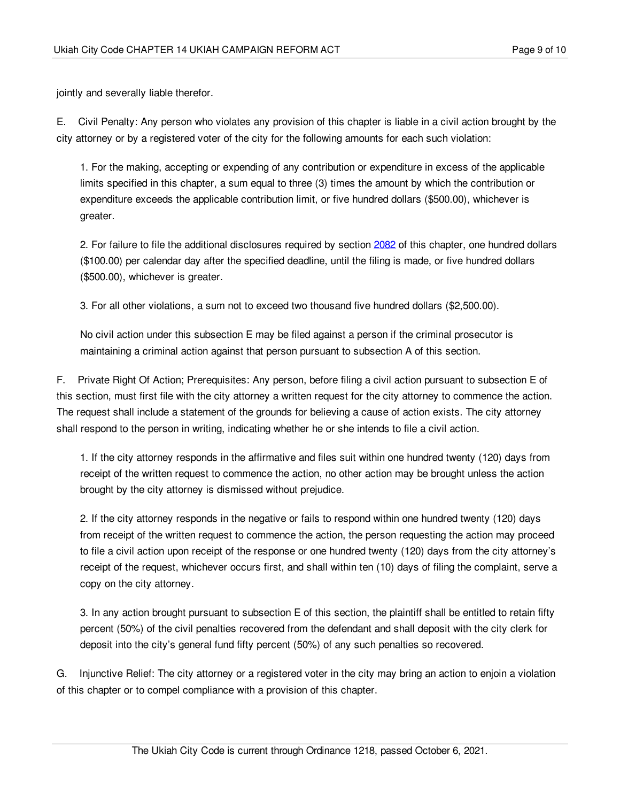jointly and severally liable therefor.

E. Civil Penalty: Any person who violates any provision of this chapter is liable in a civil action brought by the city attorney or by a registered voter of the city for the following amounts for each such violation:

1. For the making, accepting or expending of any contribution or expenditure in excess of the applicable limits specified in this chapter, a sum equal to three (3) times the amount by which the contribution or expenditure exceeds the applicable contribution limit, or five hundred dollars (\$500.00), whichever is greater.

2. For failure to file the additional disclosures required by section [2082](#page-5-0) of this chapter, one hundred dollars (\$100.00) per calendar day after the specified deadline, until the filing is made, or five hundred dollars (\$500.00), whichever is greater.

3. For all other violations, a sum not to exceed two thousand five hundred dollars (\$2,500.00).

No civil action under this subsection E may be filed against a person if the criminal prosecutor is maintaining a criminal action against that person pursuant to subsection A of this section.

F. Private Right Of Action; Prerequisites: Any person, before filing a civil action pursuant to subsection E of this section, must first file with the city attorney a written request for the city attorney to commence the action. The request shall include a statement of the grounds for believing a cause of action exists. The city attorney shall respond to the person in writing, indicating whether he or she intends to file a civil action.

1. If the city attorney responds in the affirmative and files suit within one hundred twenty (120) days from receipt of the written request to commence the action, no other action may be brought unless the action brought by the city attorney is dismissed without prejudice.

2. If the city attorney responds in the negative or fails to respond within one hundred twenty (120) days from receipt of the written request to commence the action, the person requesting the action may proceed to file a civil action upon receipt of the response or one hundred twenty (120) days from the city attorney's receipt of the request, whichever occurs first, and shall within ten (10) days of filing the complaint, serve a copy on the city attorney.

3. In any action brought pursuant to subsection E of this section, the plaintiff shall be entitled to retain fifty percent (50%) of the civil penalties recovered from the defendant and shall deposit with the city clerk for deposit into the city's general fund fifty percent (50%) of any such penalties so recovered.

G. Injunctive Relief: The city attorney or a registered voter in the city may bring an action to enjoin a violation of this chapter or to compel compliance with a provision of this chapter.